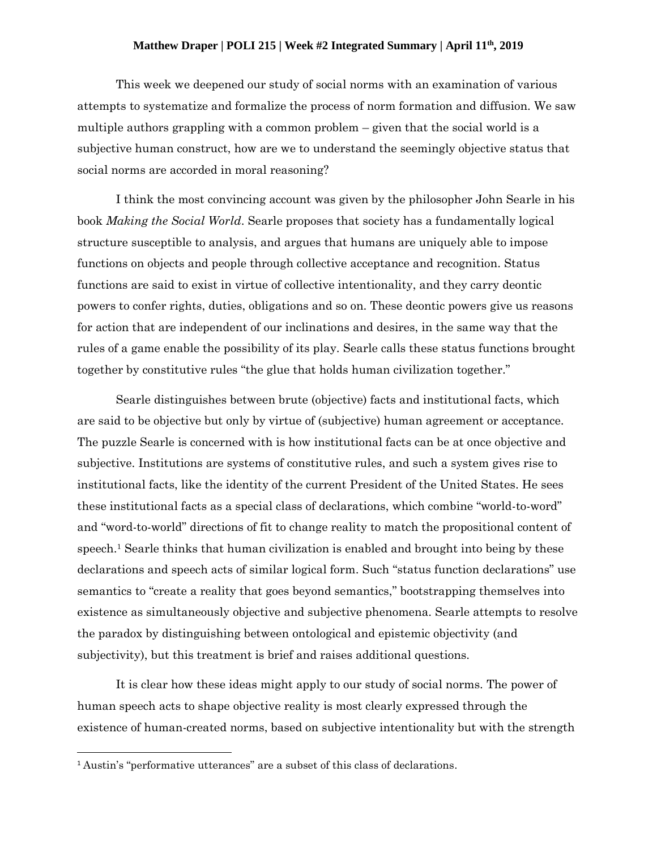## **Matthew Draper | POLI 215 | Week #2 Integrated Summary | April 11th, 2019**

This week we deepened our study of social norms with an examination of various attempts to systematize and formalize the process of norm formation and diffusion. We saw multiple authors grappling with a common problem – given that the social world is a subjective human construct, how are we to understand the seemingly objective status that social norms are accorded in moral reasoning?

I think the most convincing account was given by the philosopher John Searle in his book *Making the Social World*. Searle proposes that society has a fundamentally logical structure susceptible to analysis, and argues that humans are uniquely able to impose functions on objects and people through collective acceptance and recognition. Status functions are said to exist in virtue of collective intentionality, and they carry deontic powers to confer rights, duties, obligations and so on. These deontic powers give us reasons for action that are independent of our inclinations and desires, in the same way that the rules of a game enable the possibility of its play. Searle calls these status functions brought together by constitutive rules "the glue that holds human civilization together."

Searle distinguishes between brute (objective) facts and institutional facts, which are said to be objective but only by virtue of (subjective) human agreement or acceptance. The puzzle Searle is concerned with is how institutional facts can be at once objective and subjective. Institutions are systems of constitutive rules, and such a system gives rise to institutional facts, like the identity of the current President of the United States. He sees these institutional facts as a special class of declarations, which combine "world-to-word" and "word-to-world" directions of fit to change reality to match the propositional content of speech. <sup>1</sup> Searle thinks that human civilization is enabled and brought into being by these declarations and speech acts of similar logical form. Such "status function declarations" use semantics to "create a reality that goes beyond semantics," bootstrapping themselves into existence as simultaneously objective and subjective phenomena. Searle attempts to resolve the paradox by distinguishing between ontological and epistemic objectivity (and subjectivity), but this treatment is brief and raises additional questions.

It is clear how these ideas might apply to our study of social norms. The power of human speech acts to shape objective reality is most clearly expressed through the existence of human-created norms, based on subjective intentionality but with the strength

 $\overline{a}$ 

<sup>1</sup> Austin's "performative utterances" are a subset of this class of declarations.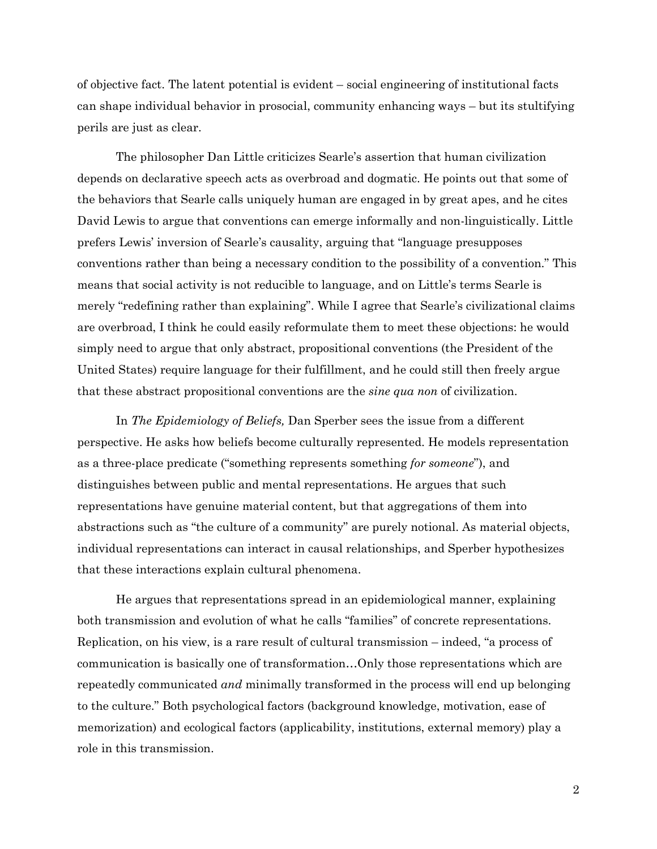of objective fact. The latent potential is evident – social engineering of institutional facts can shape individual behavior in prosocial, community enhancing ways – but its stultifying perils are just as clear.

The philosopher Dan Little criticizes Searle's assertion that human civilization depends on declarative speech acts as overbroad and dogmatic. He points out that some of the behaviors that Searle calls uniquely human are engaged in by great apes, and he cites David Lewis to argue that conventions can emerge informally and non-linguistically. Little prefers Lewis' inversion of Searle's causality, arguing that "language presupposes conventions rather than being a necessary condition to the possibility of a convention." This means that social activity is not reducible to language, and on Little's terms Searle is merely "redefining rather than explaining". While I agree that Searle's civilizational claims are overbroad, I think he could easily reformulate them to meet these objections: he would simply need to argue that only abstract, propositional conventions (the President of the United States) require language for their fulfillment, and he could still then freely argue that these abstract propositional conventions are the *sine qua non* of civilization.

In *The Epidemiology of Beliefs,* Dan Sperber sees the issue from a different perspective. He asks how beliefs become culturally represented. He models representation as a three-place predicate ("something represents something *for someone*"), and distinguishes between public and mental representations. He argues that such representations have genuine material content, but that aggregations of them into abstractions such as "the culture of a community" are purely notional. As material objects, individual representations can interact in causal relationships, and Sperber hypothesizes that these interactions explain cultural phenomena.

He argues that representations spread in an epidemiological manner, explaining both transmission and evolution of what he calls "families" of concrete representations. Replication, on his view, is a rare result of cultural transmission – indeed, "a process of communication is basically one of transformation…Only those representations which are repeatedly communicated *and* minimally transformed in the process will end up belonging to the culture." Both psychological factors (background knowledge, motivation, ease of memorization) and ecological factors (applicability, institutions, external memory) play a role in this transmission.